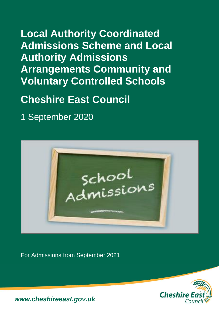# **Local Authority Coordinated Admissions Scheme and Local Authority Admissions Arrangements Community and Voluntary Controlled Schools**

# **Cheshire East Council**

1 September 2020



For Admissions from September 2021



*www.cheshireeast.gov.uk*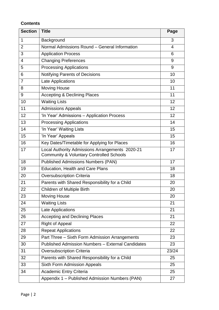## **Contents**

| <b>Section</b> | <b>Title</b>                                                                                           | Page  |
|----------------|--------------------------------------------------------------------------------------------------------|-------|
| 1              | Background                                                                                             | 3     |
| $\overline{2}$ | Normal Admissions Round - General Information                                                          | 4     |
| 3              | <b>Application Process</b>                                                                             | 6     |
| 4              | <b>Changing Preferences</b>                                                                            | 9     |
| 5              | <b>Processing Applications</b>                                                                         | 9     |
| 6              | <b>Notifying Parents of Decisions</b>                                                                  | 10    |
| $\overline{7}$ | Late Applications                                                                                      | 10    |
| 8              | <b>Moving House</b>                                                                                    | 11    |
| 9              | <b>Accepting &amp; Declining Places</b>                                                                | 11    |
| 10             | <b>Waiting Lists</b>                                                                                   | 12    |
| 11             | <b>Admissions Appeals</b>                                                                              | 12    |
| 12             | 'In Year' Admissions - Application Process                                                             | 12    |
| 13             | <b>Processing Applications</b>                                                                         | 14    |
| 14             | 'In Year' Waiting Lists                                                                                | 15    |
| 15             | 'In Year' Appeals                                                                                      | 15    |
| 16             | Key Dates/Timetable for Applying for Places                                                            | 16    |
| 17             | Local Authority Admissions Arrangements 2020-21<br><b>Community &amp; Voluntary Controlled Schools</b> | 17    |
| 18             | <b>Published Admissions Numbers (PAN)</b>                                                              | 17    |
| 19             | Education, Health and Care Plans                                                                       | 18    |
| 20             | <b>Oversubscription Criteria</b>                                                                       | 18    |
| 21             | Parents with Shared Responsibility for a Child                                                         | 20    |
| 22             | <b>Children of Multiple Birth</b>                                                                      | 20    |
| 23             | <b>Moving House</b>                                                                                    | 20    |
| 24             | <b>Waiting Lists</b>                                                                                   | 21    |
| 25             | Late Applications                                                                                      | 21    |
| 26             | <b>Accepting and Declining Places</b>                                                                  | 21    |
| 27             | <b>Right of Appeal</b>                                                                                 | 22    |
| 28             | <b>Repeat Applications</b>                                                                             | 22    |
| 29             | Part Three - Sixth Form Admission Arrangements                                                         | 23    |
| 30             | <b>Published Admission Numbers - External Candidates</b>                                               | 23    |
| 31             | <b>Oversubscription Criteria</b>                                                                       | 23/24 |
| 32             | Parents with Shared Responsibility for a Child                                                         | 25    |
| 33             | Sixth Form Admission Appeals                                                                           | 25    |
| 34             | <b>Academic Entry Criteria</b>                                                                         | 25    |
|                | Appendix 1 - Published Admission Numbers (PAN)                                                         | 27    |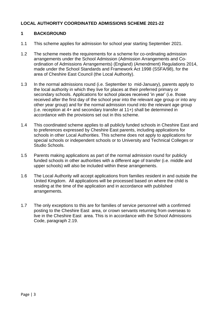## **LOCAL AUTHORITY COORDINATED ADMISSIONS SCHEME 2021-22**

#### **1 BACKGROUND**

- 1.1 This scheme applies for admission for school year starting September 2021.
- 1.2 The scheme meets the requirements for a scheme for co-ordinating admission arrangements under the School Admission (Admission Arrangements and Coordination of Admissions Arrangements) (England) (Amendment) Regulations 2014, made under the School Standards and Framework Act 1998 (SSFA/98), for the area of Cheshire East Council (the Local Authority).
- 1.3 In the normal admissions round (i.e. September to mid-January), parents apply to the local authority in which they live for places at their preferred primary or secondary schools. Applications for school places received 'in year' (i.e. those received after the first day of the school year into the relevant age group or into any other year group) and for the normal admission round into the relevant age group (i.e. reception at 4+ and secondary transfer at 11+) shall be determined in accordance with the provisions set out in this scheme.
- 1.4 This coordinated scheme applies to all publicly funded schools in Cheshire East and to preferences expressed by Cheshire East parents, including applications for schools in other Local Authorities. This scheme does not apply to applications for special schools or independent schools or to University and Technical Colleges or Studio Schools.
- 1.5 Parents making applications as part of the normal admission round for publicly funded schools in other authorities with a different age of transfer (i.e. middle and upper schools) will also be included within these arrangements.
- 1.6 The Local Authority will accept applications from families resident in and outside the United Kingdom. All applications will be processed based on where the child is residing at the time of the application and in accordance with published arrangements.
- 1.7 The only exceptions to this are for families of service personnel with a confirmed posting to the Cheshire East area, or crown servants returning from overseas to live in the Cheshire East area. This is in accordance with the School Admissions Code, paragraph 2.19.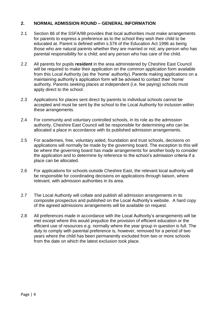### **2. NORMAL ADMISSION ROUND – GENERAL INFORMATION**

- 2.1 Section 86 of the SSFA/98 provides that local authorities must make arrangements for parents to express a preference as to the school they wish their child to be educated at. Parent is defined within s.576 of the Education Act 1996 as being those who are natural parents whether they are married or not; any person who has parental responsibility for a child; and any person who has care of the child.
- 2.2 All parents for pupils **resident** in the area administered by Cheshire East Council will be required to make their application on the common application form available from this Local Authority (as the 'home' authority). Parents making applications on a maintaining authority's application form will be advised to contact their 'home' authority. Parents seeking places at independent (i.e. fee paying) schools must apply direct to the school.
- 2.3 Applications for places sent direct by parents to individual schools cannot be accepted and must be sent by the school to the Local Authority for inclusion within these arrangements.
- 2.4 For community and voluntary controlled schools, in its role as the admission authority, Cheshire East Council will be responsible for determining who can be allocated a place in accordance with its published admission arrangements.
- 2.5 For academies, free, voluntary aided, foundation and trust schools, decisions on applications will normally be made by the governing board. The exception to this will be where the governing board has made arrangements for another body to consider the application and to determine by reference to the school's admission criteria if a place can be allocated.
- 2.6 For applications for schools outside Cheshire East, the relevant local authority will be responsible for coordinating decisions on applications through liaison, where relevant, with admission authorities in its area.
- 2.7 The Local Authority will collate and publish all admission arrangements in its composite prospectus and published on the Local Authority's website. A hard copy of the agreed admissions arrangements will be available on request.
- 2.8 All preferences made in accordance with the Local Authority's arrangements will be met except where this would prejudice the provision of efficient education or the efficient use of resources e.g. normally where the year group in question is full. The duty to comply with parental preference is, however, removed for a period of two years where the child has been permanently excluded from two or more schools from the date on which the latest exclusion took place.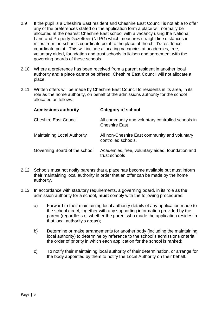- 2.9 If the pupil is a Cheshire East resident and Cheshire East Council is not able to offer any of the preferences stated on the application form a place will normally be allocated at the nearest Cheshire East school with a vacancy using the National Land and Property Gazetteer (NLPG) which measures straight line distances in miles from the school's coordinate point to the place of the child's residence coordinate point. This will include allocating vacancies at academies, free, voluntary aided, foundation and trust schools in liaison and agreement with the governing boards of these schools.
- 2.10 Where a preference has been received from a parent resident in another local authority and a place cannot be offered, Cheshire East Council will not allocate a place.
- 2.11 Written offers will be made by Cheshire East Council to residents in its area, in its role as the home authority, on behalf of the admissions authority for the school allocated as follows:

| <b>Admissions authority</b>        | <b>Category of school</b>                                                 |
|------------------------------------|---------------------------------------------------------------------------|
| <b>Cheshire East Council</b>       | All community and voluntary controlled schools in<br><b>Cheshire East</b> |
| <b>Maintaining Local Authority</b> | All non-Cheshire East community and voluntary<br>controlled schools.      |
| Governing Board of the school      | Academies, free, voluntary aided, foundation and<br>trust schools         |

- 2.12 Schools must not notify parents that a place has become available but must inform their maintaining local authority in order that an offer can be made by the home authority.
- 2.13 In accordance with statutory requirements, a governing board, in its role as the admission authority for a school, **must** comply with the following procedures:
	- a) Forward to their maintaining local authority details of any application made to the school direct, together with any supporting information provided by the parent (regardless of whether the parent who made the application resides in that local authority's areas);
	- b) Determine or make arrangements for another body (including the maintaining local authority) to determine by reference to the school's admissions criteria the order of priority in which each application for the school is ranked;
	- c) To notify their maintaining local authority of their determination, or arrange for the body appointed by them to notify the Local Authority on their behalf.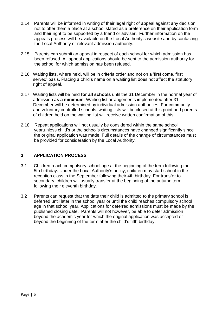- 2.14 Parents will be informed in writing of their legal right of appeal against any decision not to offer them a place at a school stated as a preference on their application form and their right to be supported by a friend or adviser. Further information on the appeals process will be available on the Local Authority's website and by contacting the Local Authority or relevant admission authority.
- 2.15 Parents can submit an appeal in respect of each school for which admission has been refused. All appeal applications should be sent to the admission authority for the school for which admission has been refused.
- 2.16 Waiting lists, where held**,** will be in criteria order and not on a 'first come, first served' basis. Placing a child's name on a waiting list does not affect the statutory right of appeal.
- 2.17 Waiting lists will be held **for all schools** until the 31 December in the normal year of admission **as a minimum**. Waiting list arrangements implemented after 31 December will be determined by individual admission authorities. For community and voluntary controlled schools, waiting lists will be closed at this point and parents of children held on the waiting list will receive written confirmation of this.
- 2.18 Repeat applications will not usually be considered within the same school year,unless child's or the school's circumstances have changed significantly since the original application was made. Full details of the change of circumstances must be provided for consideration by the Local Authority.

## **3 APPLICATION PROCESS**

- 3.1 Children reach compulsory school age at the beginning of the term following their 5th birthday. Under the Local Authority's policy, children may start school in the reception class in the September following their 4th birthday. For transfer to secondary, children will usually transfer at the beginning of the autumn term following their eleventh birthday.
- 3.2 Parents can request that the date their child is admitted to the primary school is deferred until later in the school year or until the child reaches compulsory school age in that school year. Applications for deferred admissions must be made by the published closing date. Parents will not however, be able to defer admission beyond the academic year for which the original application was accepted or beyond the beginning of the term after the child's fifth birthday.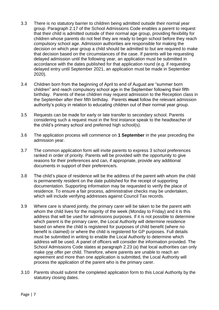- 3.3 There is no statutory barrier to children being admitted outside their normal year group. Paragraph 2.17 of the School Admissions Code enables a parent to request that their child is admitted outside of their normal age group, providing flexibility for children whose parents do not feel they are ready to begin school before they reach compulsory school age. Admission authorities are responsible for making the decision on which year group a child should be admitted to but are required to make that decision based on the circumstances of the case. If parents will be requesting delayed admission until the following year, an application must be submitted in accordance with the dates published for that application round (e.g. if requesting delayed entry until September 2021, an application must be made in September 2020).
- 3.4 Children born from the beginning of April to end of August are "summer born children" and reach compulsory school age in the September following their fifth birthday. Parents of these children may request admission to the Reception class in the September after their fifth birthday. Parents **must** follow the relevant admission authority's policy in relation to educating children out of their normal year group.
- 3.5 Requests can be made for early or late transfer to secondary school. Parents considering such a request must in the first instance speak to the headteacher of the child's primary school and preferred high school(s).
- 3.6 The application process will commence on **1 September** in the year preceding the admission year.
- 3.7 The common application form will invite parents to express 3 school preferences ranked in order of priority. Parents will be provided with the opportunity to give reasons for their preferences and can, if appropriate, provide any additional documents in support of their preference/s.
- 3.8 The child's place of residence will be the address of the parent with whom the child is permanently resident on the date published for the receipt of supporting documentation. Supporting information may be requested to verify the place of residence. To ensure a fair process, administrative checks may be undertaken, which will include verifying addresses against Council Tax records.
- 3.9 Where care is shared jointly, the primary carer will be taken to be the parent with whom the child lives for the majority of the week (Monday to Friday) and it is this address that will be used for admissions purposes. If it is not possible to determine which parent is the primary carer, the Local Authority will determine residence based on where the child is registered for purposes of child benefit (where no benefit is claimed) or where the child is registered for GP purposes. Full details must be submitted in writing to enable the Local Authority to determine which address will be used. A panel of officers will consider the information provided. The School Admissions Code states at paragraph 2.23 (a) that local authorities can only make one offer per child. Therefore, where parents are unable to reach an agreement and more than one application is submitted, the Local Authority will process the application of the parent who is the primary carer.
- 3.10 Parents should submit the completed application form to this Local Authority by the statutory closing dates.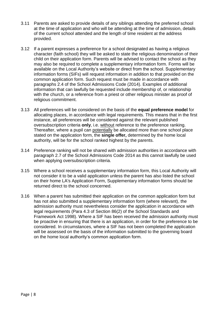- 3.11 Parents are asked to provide details of any siblings attending the preferred school at the time of application and who will be attending at the time of admission, details of the current school attended and the length of time resident at the address provided.
- 3.12 If a parent expresses a preference for a school designated as having a religious character (faith school) they will be asked to state the religious denomination of their child on their application form. Parents will be advised to contact the school as they may also be required to complete a supplementary information form. Forms will be available on the Local Authority's website or direct from the school. Supplementary information forms (SIFs) will request information in addition to that provided on the common application form. Such request must be made in accordance with paragraphs 2.4 of the School Admissions Code (2014). Examples of additional information that can lawfully be requested include membership of, or relationship with the church, or a reference from a priest or other religious minister as proof of religious commitment.
- 3.13 All preferences will be considered on the basis of the **equal preference model** for allocating places, in accordance with legal requirements. This means that in the first instance, all preferences will be considered against the relevant published oversubscription criteria **only**, i.e. without reference to the preference ranking. Thereafter, where a pupil can potentially be allocated more than one school place stated on the application form, the **single offer,** determined by the home local authority, will be for the school ranked highest by the parents.
- 3.14 Preference ranking will not be shared with admission authorities in accordance with paragraph 2.7 of the School Admissions Code 2014 as this cannot lawfully be used when applying oversubscription criteria.
- 3.15 Where a school receives a supplementary information form, this Local Authority will not consider it to be a valid application unless the parent has also listed the school on their home LA's Application Form, Supplementary information forms should be returned direct to the school concerned.
- 3.16 When a parent has submitted their application on the common application form but has not also submitted a supplementary information form (where relevant), the admission authority must nevertheless consider the application in accordance with legal requirements (Para 4.3 of Section 86(2) of the School Standards and Framework Act 1998). Where a SIF has been received the admission authority must be proactive in ensuring that there is an application, in order for the preference to be considered. In circumstances, where a SIF has not been completed the application will be assessed on the basis of the information submitted to the governing board on the home local authority's common application form.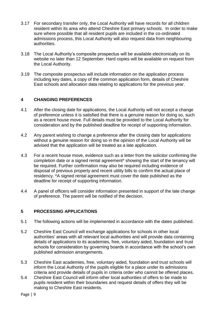- 3.17 For secondary transfer only, the Local Authority will have records for all children resident within its area who attend Cheshire East primary schools. In order to make sure where possible that all resident pupils are included in the co-ordinated admissions process, this Local Authority will also request data from neighbouring authorities.
- 3.18 The Local Authority's composite prospectus will be available electronically on its website no later than 12 September. Hard copies will be available on request from the Local Authority.
- 3.19 The composite prospectus will include information on the application process including key dates, a copy of the common application form, details of Cheshire East schools and allocation data relating to applications for the previous year.

#### **4 CHANGING PREFERENCES**

- 4.1 After the closing date for applications, the Local Authority will not accept a change of preference unless it is satisfied that there is a genuine reason for doing so, such as a recent house move. Full details must be provided to the Local Authority for consideration and by the published deadline for receipt of supporting information.
- 4.2 Any parent wishing to change a preference after the closing date for applications without a genuine reason for doing so in the opinion of the Local Authority will be advised that the application will be treated as a late application.
- 4.3 For a recent house move, evidence such as a letter from the solicitor confirming the completion date or a signed rental agreement\* showing the start of the tenancy will be required. Further confirmation may also be required including evidence of disposal of previous property and recent utility bills to confirm the actual place of residency. \*A signed rental agreement must cover the date published as the deadline for receipt of supporting information.
- 4.4 A panel of officers will consider information presented in support of the late change of preference. The parent will be notified of the decision.

## **5 PROCESSING APPLICATIONS**

- 5.1 The following actions will be implemented in accordance with the dates published.
- 5.2 Cheshire East Council will exchange applications for schools in other local authorities' areas with all relevant local authorities and will provide data containing details of applications to its academies, free, voluntary aided, foundation and trust schools for consideration by governing boards in accordance with the school's own published admission arrangements.
- 5.3 Cheshire East academies, free, voluntary aided, foundation and trust schools will inform the Local Authority of the pupils eligible for a place under its admissions criteria and provide details of pupils in criteria order who cannot be offered places.
- 5.4 Cheshire East Council will inform other local authorities of offers to be made to pupils resident within their boundaries and request details of offers they will be making to Cheshire East residents.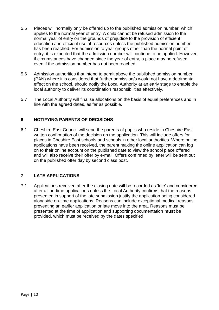- 5.5 Places will normally only be offered up to the published admission number, which applies to the normal year of entry. A child cannot be refused admission to the normal year of entry on the grounds of prejudice to the provision of efficient education and efficient use of resources unless the published admission number has been reached. For admission to year groups other than the normal point of entry, it is expected that the admission number will continue to be applied. However, if circumstances have changed since the year of entry, a place may be refused even if the admission number has not been reached.
- 5.6 Admission authorities that intend to admit above the published admission number (PAN) where it is considered that further admission/s would not have a detrimental effect on the school, should notify the Local Authority at an early stage to enable the local authority to deliver its coordination responsibilities effectively.
- 5.7 The Local Authority will finalise allocations on the basis of equal preferences and in line with the agreed dates, as far as possible.

## **6 NOTIFYING PARENTS OF DECISIONS**

6.1 Cheshire East Council will send the parents of pupils who reside in Cheshire East written confirmation of the decision on the application. This will include offers for places in Cheshire East schools and schools in other local authorities. Where online applications have been received, the parent making the online application can log on to their online account on the published date to view the school place offered and will also receive their offer by e-mail. Offers confirmed by letter will be sent out on the published offer day by second class post.

## **7 LATE APPLICATIONS**

7.1 Applications received after the closing date will be recorded as 'late' and considered after all on-time applications unless the Local Authority confirms that the reasons presented in support of the late submission justify the application being considered alongside on-time applications. Reasons can include exceptional medical reasons preventing an earlier application or late move into the area. Reasons must be presented at the time of application and supporting documentation **must** be provided, which must be received by the dates specified.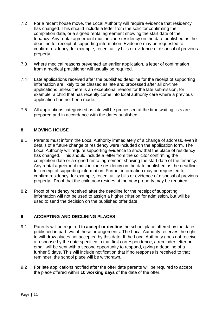- 7.2 For a recent house move, the Local Authority will require evidence that residency has changed. This should include a letter from the solicitor confirming the completion date, or a signed rental agreement showing the start date of the tenancy. Any rental agreement must include residency on the date published as the deadline for receipt of supporting information. Evidence may be requested to confirm residency, for example, recent utility bills or evidence of disposal of previous property.
- 7.3 Where medical reasons prevented an earlier application, a letter of confirmation from a medical practitioner will usually be required.
- 7.4 Late applications received after the published deadline for the receipt of supporting information are likely to be classed as late and processed after all on-time applications unless there is an exceptional reason for the late submission, for example, a child that has recently come into local authority care where a previous application had not been made.
- 7.5 All applications categorised as late will be processed at the time waiting lists are prepared and in accordance with the dates published.

#### **8 MOVING HOUSE**

- 8.1 Parents must inform the Local Authority immediately of a change of address, even if details of a future change of residency were included on the application form. The Local Authority will require supporting evidence to show that the place of residency has changed. This should include a letter from the solicitor confirming the completion date or a signed rental agreement showing the start date of the tenancy. Any rental agreement must include residency on the date published as the deadline for receipt of supporting information. Further information may be requested to confirm residency, for example, recent utility bills or evidence of disposal of previous property. Proof that the child now resides at the new property may be required.
- 8.2 Proof of residency received after the deadline for the receipt of supporting information will not be used to assign a higher criterion for admission, but will be used to send the decision on the published offer date.

## **9 ACCEPTING AND DECLINING PLACES**

- 9.1 Parents will be required to **accept or decline** the school place offered by the dates published in part two of these arrangements. The Local Authority reserves the right to withdraw places not accepted by this date. If the Local Authority does not receive a response by the date specified in that first correspondence, a reminder letter or email will be sent with a second opportunity to respond, giving a deadline of a further 5 days. This will include notification that if no response is received to that reminder, the school place will be withdrawn.
- 9.2 For late applications notified after the offer date parents will be required to accept the place offered within **10 working days** of the date of the offer.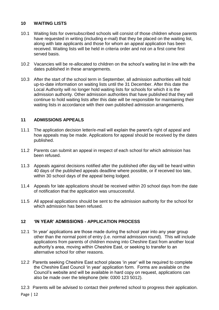## **10 WAITING LISTS**

- 10.1 Waiting lists for oversubscribed schools will consist of those children whose parents have requested in writing (including e-mail) that they be placed on the waiting list, along with late applicants and those for whom an appeal application has been received. Waiting lists will be held in criteria order and not on a first come first served basis.
- 10.2 Vacancies will be re-allocated to children on the school's waiting list in line with the dates published in these arrangements.
- 10.3 After the start of the school term in September, all admission authorities will hold up-to-date information on waiting lists until the 31 December. After this date the Local Authority will no longer hold waiting lists for schools for which it is the admission authority. Other admission authorities that have published that they will continue to hold waiting lists after this date will be responsible for maintaining their waiting lists in accordance with their own published admission arrangements.

## **11 ADMISSIONS APPEALS**

- 11.1 The application decision letter/e-mail will explain the parent's right of appeal and how appeals may be made. Applications for appeal should be received by the dates published.
- 11.2 Parents can submit an appeal in respect of each school for which admission has been refused.
- 11.3 Appeals against decisions notified after the published offer day will be heard within 40 days of the published appeals deadline where possible, or if received too late, within 30 school days of the appeal being lodged.
- 11.4 Appeals for late applications should be received within 20 school days from the date of notification that the application was unsuccessful.
- 11.5 All appeal applications should be sent to the admission authority for the school for which admission has been refused.

## **12 'IN YEAR' ADMISSIONS - APPLICATION PROCESS**

- 12.1 'In year' applications are those made during the school year into any year group other than the normal point of entry (i.e. normal admission round). This will include applications from parents of children moving into Cheshire East from another local authority's area, moving within Cheshire East, or seeking to transfer to an alternative school for other reasons.
- 12.2 Parents seeking Cheshire East school places 'in year' will be required to complete the Cheshire East Council 'in year' application form. Forms are available on the Council's website and will be available in hard copy on request, applications can also be made over the telephone (tele: 0300 123 5012).
- 12.3 Parents will be advised to contact their preferred school to progress their application.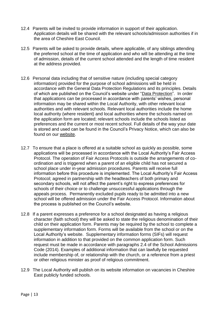- 12.4 Parents will be invited to provide information in support of their application. Application details will be shared with the relevant schools/admission authorities if in the area of Cheshire East Council.
- 12.5 Parents will be asked to provide details, where applicable, of any siblings attending the preferred school at the time of application and who will be attending at the time of admission, details of the current school attended and the length of time resident at the address provided.
- 12.6 Personal data including that of sensitive nature (including special category information) provided for the purpose of school admissions will be held in accordance with the General Data Protection Regulations and its principles. Details of which are published on the Council's website under ["Data Protection"](https://www.cheshireeast.gov.uk/council_and_democracy/council_information/data_protection/data_protection.aspx). In order that applications can be processed in accordance with parents' wishes, personal information may be shared within the Local Authority, with other relevant local authorities and with relevant schools. Relevant local authorities include the home local authority (where resident) and local authorities where the schools named on the application form are located; relevant schools include the schools listed as preferences and the current or most recent school. Full details of the way your date is stored and used can be found in the Council's Privacy Notice, which can also be found on our [website.](https://www.cheshireeast.gov.uk/council_and_democracy/council_information/website_information/privacy-notices/privacy-notice.aspx)
- 12.7 To ensure that a place is offered at a suitable school as quickly as possible, some applications will be processed in accordance with the Local Authority's Fair Access Protocol. The operation of Fair Access Protocols is outside the arrangements of coordination and is triggered when a parent of an eligible child has not secured a school place under in-year admission procedures. Parents will receive full information before this procedure is implemented. The Local Authority's Fair Access Protocol; agreed in partnership with the headteachers of both primary and secondary schools, will not affect the parent's right to express preferences for schools of their choice or to challenge unsuccessful applications through the appeals process. Permanently excluded pupils ready to be admitted into a new school will be offered admission under the Fair Access Protocol. Information about the process is published on the Council's website.
- 12.8 If a parent expresses a preference for a school designated as having a religious character (faith school) they will be asked to state the religious denomination of their child on their application form. Parents may be required by the school to complete a supplementary information form. Forms will be available from the school or on the Local Authority's website. Supplementary information forms (SIFs) will request information in addition to that provided on the common application form. Such request must be made in accordance with paragraphs 2.4 of the School Admissions Code (2014). Examples of additional information that can lawfully be requested include membership of, or relationship with the church, or a reference from a priest or other religious minister as proof of religious commitment.
- 12.9 The Local Authority will publish on its website information on vacancies in Cheshire East publicly funded schools.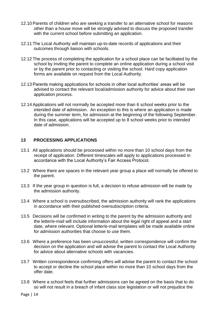- 12.10 Parents of children who are seeking a transfer to an alternative school for reasons other than a house move will be strongly advised to discuss the proposed transfer with the current school before submitting an application.
- 12.11 The Local Authority will maintain up-to-date records of applications and their outcomes through liaison with schools.
- 12.12 The process of completing the application for a school place can be facilitated by the school by inviting the parent to complete an online application during a school visit or by the parent prior to contacting or visiting the school. Hard copy application forms are available on request from the Local Authority.
- 12.13 Parents making applications for schools in other local authorities' areas will be advised to contact the relevant local/admission authority for advice about their own application process.
- 12.14 Applications will not normally be accepted more than 6 school weeks prior to the intended date of admission. An exception to this is where an application is made during the summer term, for admission at the beginning of the following September. In this case, applications will be accepted up to 8 school weeks prior to intended date of admission.

#### **13 PROCESSING APPLICATIONS**

- 13.1 All applications should be processed within no more than 10 school days from the receipt of application. Different timescales will apply to applications processed in accordance with the Local Authority's Fair Access Protocol.
- 13.2 Where there are spaces in the relevant year group a place will normally be offered to the parent.
- 13.3 If the year group in question is full, a decision to refuse admission will be made by the admission authority.
- 13.4 Where a school is oversubscribed, the admission authority will rank the applications in accordance with their published oversubscription criteria.
- 13.5 Decisions will be confirmed in writing to the parent by the admission authority and the letter/e-mail will include information about the legal right of appeal and a start date, where relevant. Optional letter/e-mail templates will be made available online for admission authorities that choose to use them.
- 13.6 Where a preference has been unsuccessful, written correspondence will confirm the decision on the application and will advise the parent to contact the Local Authority for advice about alternative schools with vacancies.
- 13.7 Written correspondence confirming offers will advise the parent to contact the school to accept or decline the school place within no more than 10 school days from the offer date.
- 13.8 Where a school feels that further admissions can be agreed on the basis that to do so will not result in a breach of infant class size legislation or will not prejudice the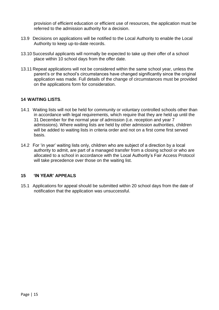provision of efficient education or efficient use of resources, the application must be referred to the admission authority for a decision.

- 13.9 Decisions on applications will be notified to the Local Authority to enable the Local Authority to keep up-to-date records.
- 13.10 Successful applicants will normally be expected to take up their offer of a school place within 10 school days from the offer date.
- 13.11 Repeat applications will not be considered within the same school year, unless the parent's or the school's circumstances have changed significantly since the original application was made. Full details of the change of circumstances must be provided on the applications form for consideration.

#### **14 WAITING LISTS**.

- 14.1 Waiting lists will not be held for community or voluntary controlled schools other than in accordance with legal requirements, which require that they are held up until the 31 December for the normal year of admission (i.e. reception and year 7 admissions). Where waiting lists are held by other admission authorities, children will be added to waiting lists in criteria order and not on a first come first served basis.
- 14.2 For 'in year' waiting lists only, children who are subject of a direction by a local authority to admit, are part of a managed transfer from a closing school or who are allocated to a school in accordance with the Local Authority's Fair Access Protocol will take precedence over those on the waiting list.

#### **15 'IN YEAR' APPEALS**

15.1 Applications for appeal should be submitted within 20 school days from the date of notification that the application was unsuccessful.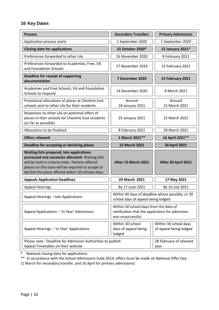## **16 Key Dates**

| <b>Process</b>                                                                                                                                                                                                                                              | <b>Secondary Transfers</b>                                                                                     | <b>Primary Admissions</b>                       |  |  |  |
|-------------------------------------------------------------------------------------------------------------------------------------------------------------------------------------------------------------------------------------------------------------|----------------------------------------------------------------------------------------------------------------|-------------------------------------------------|--|--|--|
| Application process starts                                                                                                                                                                                                                                  | 1 September 2020                                                                                               | 1 September 2020                                |  |  |  |
| <b>Closing date for applications</b>                                                                                                                                                                                                                        | 31 October 2020*                                                                                               | 15 January 2021*                                |  |  |  |
| Preferences forwarded to other LAs                                                                                                                                                                                                                          | 16 November 2020                                                                                               | 8 February 2021                                 |  |  |  |
| Preferences forwarded to Academies, Free, VA<br>and Foundation Schools                                                                                                                                                                                      | 27 November 2019                                                                                               | 15 February 2021                                |  |  |  |
| Deadline for receipt of supporting<br>documentation                                                                                                                                                                                                         | 7 December 2020                                                                                                | 15 February 2021                                |  |  |  |
| Academies and Free Schools, VA and Foundation<br>Schools to respond                                                                                                                                                                                         | 14 December 2020                                                                                               | 8 March 2021                                    |  |  |  |
| Provisional allocations of places at Cheshire East<br>schools sent to other LAs for their residents                                                                                                                                                         | Around<br>18 January 2021                                                                                      | Around<br>15 March 2021                         |  |  |  |
| Responses to other LAs on potential offers of<br>places in their schools for Cheshire East residents<br>(so far as possible)                                                                                                                                | 25 January 2021                                                                                                | 22 March 2021                                   |  |  |  |
| Allocations to be finalised                                                                                                                                                                                                                                 | 8 February 2021                                                                                                | 29 March 2021                                   |  |  |  |
| <b>Offers released</b>                                                                                                                                                                                                                                      | 1 March 2021**                                                                                                 | 16 April 2021**                                 |  |  |  |
|                                                                                                                                                                                                                                                             |                                                                                                                |                                                 |  |  |  |
| Deadline for accepting or declining places                                                                                                                                                                                                                  | <b>15 March 2021</b>                                                                                           | <b>30 April 2021</b>                            |  |  |  |
| Waiting lists prepared, late applications<br>processed and vacancies allocated. Waiting lists<br>will be held in criteria order. Parents offered<br>places on this basis will be required to accept or<br>decline the place offered within 10 schools days. | After 15 March 2021                                                                                            | After 30 April 2021                             |  |  |  |
| <b>Appeals Application Deadlines</b>                                                                                                                                                                                                                        | 29 March 2021                                                                                                  | 17 May 2021                                     |  |  |  |
| <b>Appeal Hearings</b>                                                                                                                                                                                                                                      | By 17 June 2021                                                                                                | By 16 July 2021                                 |  |  |  |
| Appeal Hearings - late Applications                                                                                                                                                                                                                         | Within 40 days of deadline where possible, or 30<br>school days of appeal being lodged                         |                                                 |  |  |  |
| Appeal Applications - 'In Year' Admissions                                                                                                                                                                                                                  | Within 20 school days from the date of<br>notification that the application for admission<br>was unsuccessful. |                                                 |  |  |  |
| Appeal Hearings - 'In Year' Applications                                                                                                                                                                                                                    | Within 30 school<br>days of appeal being<br>lodged                                                             | Within 30 school days<br>of appeal being lodged |  |  |  |

**\*** National closing date for applications

\*\* In accordance with the School Admissions Code 2014, offers must be made on National Offer Day

(1 March for secondary transfer, and 16 April for primary admissions)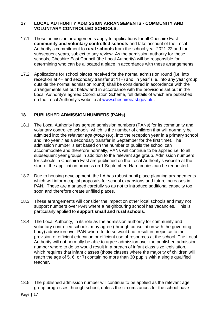### **17 LOCAL AUTHORITY ADMISSION ARRANGEMENTS - COMMUNITY AND VOLUNTARY CONTROLLED SCHOOLS.**

- 17.1 These admission arrangements apply to applications for all Cheshire East **community and voluntary controlled schools** and take account of the Local Authority's commitment to **rural schools** from the school year 2021-22 and for subsequent years, subject to any review. As the admission authority for these schools, Cheshire East Council (the Local Authority) will be responsible for determining who can be allocated a place in accordance with these arrangements.
- 17.2 Applications for school places received for the normal admission round (i.e. into reception at 4+ and secondary transfer at 11+) and 'in year' (i.e. into any year group outside the normal admission round) shall be considered in accordance with the arrangements set out below and in accordance with the provisions set out in the Local Authority's agreed Coordination Scheme, full details of which are published on the Local Authority's website at [www.cheshireeast.gov.uk](http://www.cheshireeast.gov.uk/) .

## **18 PUBLISHED ADMISSION NUMBERS (PANs)**

- 18.1 The Local Authority has agreed admission numbers (PANs) for its community and voluntary controlled schools, which is the number of children that will normally be admitted into the *relevant age group* (e.g. into the reception year in a primary school and into year 7 as a secondary transfer in September for the first time). The admission number is set based on the number of pupils the school can accommodate and therefore normally, PANs will continue to be applied i.e. to all subsequent year groups in addition to the relevant age group. Admission numbers for schools in Cheshire East are published on the Local Authority's website at the start of the application process on 1 September. Hard copies can be requested.
- 18.2 Due to housing development, the LA has robust pupil place planning arrangements which will inform capital proposals for school expansions and future increases in PAN. These are managed carefully so as not to introduce additional capacity too soon and therefore create unfilled places.
- 18.3 These arrangements will consider the impact on other local schools and may not support numbers over PAN where a neighbouring school has vacancies. This is particularly applied to **support small and rural schools**.
- 18.4 The Local Authority, in its role as the admission authority for community and voluntary controlled schools, may agree (through consultation with the governing body) admission over PAN where to do so would not result in prejudice to the provision of efficient education or efficient use of resources at the school. The Local Authority will not normally be able to agree admission over the published admission number where to do so would result in a breach of infant class size legislation, which requires that infant classes (those classes where the majority of children will reach the age of 5, 6, or 7) contain no more than 30 pupils with a single qualified teacher.
- 18.5 The published admission number will continue to be applied as the relevant age group progresses through school, unless the circumstances for the school have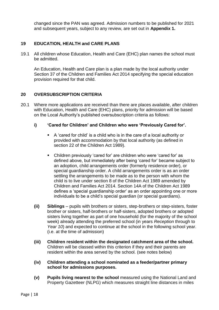changed since the PAN was agreed. Admission numbers to be published for 2021 and subsequent years, subject to any review, are set out in **Appendix 1.**

### **19 EDUCATION, HEALTH and CARE PLANS**

19.1 All children whose Education, Health and Care (EHC) plan names the school must be admitted.

An Education, Health and Care plan is a plan made by the local authority under Section 37 of the Children and Families Act 2014 specifying the special education provision required for that child.

#### **20 OVERSUBSCRIPTION CRITERIA**

20.1 Where more applications are received than there are places available, after children with Education, Health and Care (EHC) plans, priority for admission will be based on the Local Authority's published oversubscription criteria as follows:

#### **i) 'Cared for Children' and Children who were 'Previously Cared for'.**

- A 'cared for child' is a child who is in the care of a local authority or provided with accommodation by that local authority (as defined in section 22 of the Children Act 1989).
- Children previously 'cared for' are children who were 'cared for' as defined above, but immediately after being 'cared for' became subject to an adoption, child arrangements order (formerly residence order), or special guardianship order. A child arrangements order is as an order settling the arrangements to be made as to the person with whom the child is to live under section 8 of the Children Act 1989 amended by Children and Families Act 2014. Section 14A of the Children Act 1989 defines a 'special guardianship order' as an order appointing one or more individuals to be a child's special guardian (or special guardians).
- **(ii) Siblings** pupils with brothers or sisters, step-brothers or step-sisters, foster brother or sisters, half-brothers or half-sisters, adopted brothers or adopted sisters living together as part of one household (for the majority of the school week) already attending the preferred school (in years *Reception* through to *Year 10*) and expected to continue at the school in the following school year. (i.e. at the time of admission)
- **(iii) Children resident within the designated catchment area of the school.** Children will be classed within this criterion if they and their parents are resident within the area served by the school. (see notes below)
- **(iv) Children attending a school nominated as a feeder/partner primary school for admissions purposes.**
- **(v) Pupils living nearest to the school** measured using the National Land and Property Gazetteer (NLPG) which measures straight line distances in miles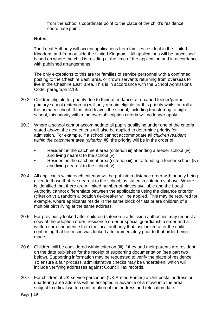from the school's coordinate point to the place of the child's residence coordinate point.

#### **Notes:**

The Local Authority will accept applications from families resident in the United Kingdom, and from outside the United Kingdom. All applications will be processed based on where the child is residing at the time of the application and in accordance with published arrangements.

The only exceptions to this are for families of service personnel with a confirmed posting to the Cheshire East area, or crown servants returning from overseas to live in the Cheshire East area. This is in accordance with the School Admissions Code, paragraph 2.19.

- 20.2 Children eligible for priority due to their attendance at a named feeder/partner primary school (criterion IV) will only remain eligible for this priority whilst on roll at the primary school. If the child leaves the school, including transferring to high school, this priority within the oversubscription criteria will no longer apply.
- 20.3 Where a school cannot accommodate all pupils qualifying under one of the criteria stated above, the next criteria will also be applied to determine priority for admission. For example, if a school cannot accommodate all *children resident within the catchment area (criterion iii)*, the priority will be in the order of:
	- Resident in the catchment area (criterion iii) attending a feeder school (iv) and living nearest to the school (v)
	- **Resident in the catchment area (criterion iii) not attending a feeder school (iv)** and living nearest to the school (v)
- 20.4 All applicants within each criterion will be put into a distance order with priority being given to those that live nearest to the school, as stated in criterion v above. Where it is identified that there are a limited number of places available and the Local Authority cannot differentiate between the applications using the distance criterion (criterion v) a random allocation tie-breaker will be applied. This may be required for example, where applicants reside in the same block of flats or are children of a multiple birth living at the same address.
- 20.5 For previously looked after children (criterion i) admission authorities may request a copy of the adoption order, residence order or special guardianship order and a written correspondence from the local authority that last looked after the child confirming that he or she was looked after immediately prior to that order being made.
- 20.6 Children will be considered within criterion (iii) if they and their parents are resident on the date published for the receipt of supporting documentation (see part two below). Supporting information may be requested to verify the place of residence. To ensure a fair process, administrative checks may be undertaken, which will include verifying addresses against Council Tax records.
- 20.7 For children of UK service personnel (UK Armed Forces) a Unit postal address or quartering area address will be accepted in advance of a move into the area, subject to official written confirmation of the address and relocation date.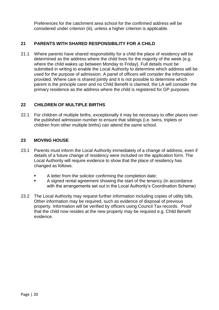Preferences for the catchment area school for the confirmed address will be considered under criterion (iii), unless a higher criterion is applicable.

## **21 PARENTS WITH SHARED RESPONSIBILITY FOR A CHILD**

21.1 Where parents have shared responsibility for a child the place of residency will be determined as the address where the child lives for the majority of the week (e.g. where the child wakes up between Monday to Friday). Full details must be submitted in writing to enable the Local Authority to determine which address will be used for the purpose of admission. A panel of officers will consider the information provided. Where care is shared jointly and it is not possible to determine which parent is the principle carer and no Child Benefit is claimed, the LA will consider the primary residence as the address where the child is registered for GP purposes.

## **22 CHILDREN OF MULTIPLE BIRTHS**

22.1 For children of multiple births, exceptionally it may be necessary to offer places over the published admission number to ensure that siblings (i.e. twins, triplets or children from other multiple births) can attend the same school.

#### **23 MOVING HOUSE**

- 23.1 Parents must inform the Local Authority immediately of a change of address, even if details of a future change of residency were included on the application form. The Local Authority will require evidence to show that the place of residency has changed as follows:
	- A letter from the solicitor confirming the completion date;
	- A signed rental agreement showing the start of the tenancy (in accordance with the arrangements set out in the Local Authority's Coordination Scheme)
- 23.2 The Local Authority may request further information including copies of utility bills. Other information may be required, such as evidence of disposal of previous property. Information will be verified by officers using Council Tax records. Proof that the child now resides at the new property may be required e.g. Child Benefit evidence.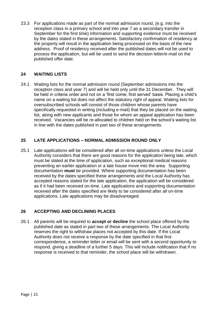23.3 For applications made as part of the normal admission round, (e.g. into the reception class in a primary school and into year 7 as a secondary transfer in September for the first time) information and supporting evidence must be received by the dates stated in these arrangements. Satisfactory confirmation of residency at the property will result in the application being processed on the basis of the new address. Proof of residency received after the published dates will not be used to process the application, but will be used to send the decision letter/e-mail on the published offer date.

## **24 WAITING LISTS**

24.1 Waiting lists for the normal admission round (September admissions into the reception class and year 7) and will be held only until the 31 December. They will be held in criteria order and not on a 'first come, first served' basis. Placing a child's name on a waiting list does not affect the statutory right of appeal. Waiting lists for oversubscribed schools will consist of those children whose parents have specifically requested in writing (including e-mail) that they be placed on the waiting list, along with new applicants and those for whom an appeal application has been received. Vacancies will be re-allocated to children held on the school's waiting list in line with the dates published in part two of these arrangements.

## **25 LATE APPLICATIONS – NORMAL ADMISSION ROUND ONLY**

25.1 Late applications will be considered after all on-time applications unless the Local Authority considers that there are good reasons for the application being late, which must be stated at the time of application, such as exceptional medical reasons preventing an earlier application or a late house move into the area. Supporting documentation **must** be provided. Where supporting documentation has been received by the dates specified these arrangements and the Local Authority has accepted reasons stated for the late application, the application will be considered as if it had been received on-time. Late applications and supporting documentation received after the dates specified are likely to be considered after all on-time applications. Late applications may be disadvantaged.

## **26 ACCEPTING AND DECLINING PLACES**

26.1 All parents will be required to **accept or decline** the school place offered by the published date as stated in part two of these arrangements. The Local Authority reserves the right to withdraw places not accepted by this date. If the Local Authority does not receive a response by the date specified in that first correspondence, a reminder letter or email will be sent with a second opportunity to respond, giving a deadline of a further 5 days. This will include notification that if no response is received to that reminder, the school place will be withdrawn.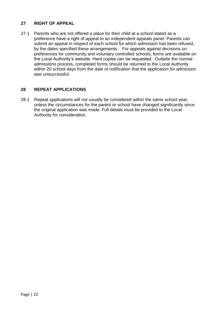## **27 RIGHT OF APPEAL**

27.1 Parents who are not offered a place for their child at a school stated as a preference have a right of appeal to an independent appeals panel. Parents can submit an appeal in respect of each school for which admission has been refused, by the dates specified these arrangements. For appeals against decisions on preferences for community and voluntary controlled schools, forms are available on the Local Authority's website. Hard copies can be requested. Outside the normal admissions process, completed forms should be returned to the Local Authority within 20 school days from the date of notification that the application for admission was unsuccessful.

#### **28 REPEAT APPLICATIONS**

28.1 Repeat applications will not usually be considered within the same school year, unless the circumstances for the parent or school have changed significantly since the original application was made. Full details must be provided to the Local Authority for consideration.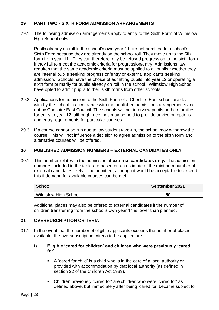## **29 PART TWO - SIXTH FORM ADMISSION ARRANGEMENTS**

29.1 The following admission arrangements apply to entry to the Sixth Form of Wilmslow High School only.

Pupils already on roll in the school's own year 11 are not admitted to a school's Sixth Form because they are already on the school roll. They move up to the 6th form from year 11. They can therefore only be refused progression to the sixth form if they fail to meet the academic criteria for progression/entry. Admissions law requires that the same academic criteria must be applied to all pupils, whether they are internal pupils seeking progression/entry or external applicants seeking admission. Schools have the choice of admitting pupils into year 12 or operating a sixth form primarily for pupils already on roll in the school. Wilmslow High School have opted to admit pupils to their sixth forms from other schools.

- 29.2 Applications for admission to the Sixth Form of a Cheshire East school are dealt with by the school in accordance with the published admissions arrangements and not by Cheshire East Council. The schools will not interview pupils or their families for entry to year 12, although meetings may be held to provide advice on options and entry requirements for particular courses.
- 29.3 If a course cannot be run due to low student take-up, the school may withdraw the course. This will not influence a decision to agree admission to the sixth form and alternative courses will be offered.

## **30 PUBLISHED ADMISSION NUMBERS – EXTERNAL CANDIDATES ONLY**

30.1 This number relates to the admission of **external candidates only.** The admission numbers included in the table are based on an estimate of the minimum number of external candidates likely to be admitted, although it would be acceptable to exceed this if demand for available courses can be met.

| <b>School</b>               | September 2021 |
|-----------------------------|----------------|
| <b>Wilmslow High School</b> | 50             |

Additional places may also be offered to external candidates if the number of children transferring from the school's own year 11 is lower than planned.

## **31 OVERSUBCRIPTION CRITERIA**

31.1 In the event that the number of eligible applicants exceeds the number of places available, the oversubscription criteria to be applied are:

#### **i) Eligible 'cared for children' and children who were previously 'cared for'.**

- A 'cared for child' is a child who is in the care of a local authority or provided with accommodation by that local authority (as defined in section 22 of the Children Act 1989).
- Children previously 'cared for' are children who were 'cared for' as defined above, but immediately after being 'cared for' became subject to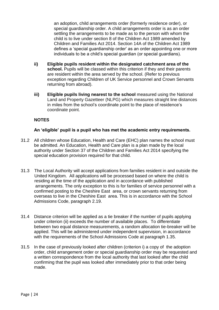an adoption, child arrangements order (formerly residence order), or special guardianship order. A child arrangements order is as an order settling the arrangements to be made as to the person with whom the child is to live under section 8 of the Children Act 1989 amended by Children and Families Act 2014. Section 14A of the Children Act 1989 defines a 'special guardianship order' as an order appointing one or more individuals to be a child's special guardian (or special guardians).

- **ii) Eligible pupils resident within the designated catchment area of the school.** Pupils will be classed within this criterion if they and their parents are resident within the area served by the school. (Refer to previous exception regarding Children of UK Service personnel and Crown Servants returning from abroad).
- **iii) Eligible pupils living nearest to the school** measured using the National Land and Property Gazetteer (NLPG) which measures straight line distances in miles from the school's coordinate point to the place of residence's coordinate point.

## **NOTES**

#### **An 'eligible' pupil is a pupil who has met the academic entry requirements.**

- 31.2 All children whose Education, Health and Care (EHC) plan names the school must be admitted. An Education, Health and Care plan is a plan made by the local authority under Section 37 of the Children and Families Act 2014 specifying the special education provision required for that child.
- 31.3 The Local Authority will accept applications from families resident in and outside the United Kingdom. All applications will be processed based on where the child is residing at the time of the application and in accordance with published arrangements. The only exception to this is for families of service personnel with a confirmed posting to the Cheshire East area, or crown servants returning from overseas to live in the Cheshire East area. This is in accordance with the School Admissions Code, paragraph 2.19.
- 31.4 Distance criterion will be applied as a tie breaker if the number of pupils applying under criterion (ii) exceeds the number of available places. To differentiate between two equal distance measurements, a random allocation tie-breaker will be applied. This will be administered under independent supervision, in accordance with the requirements of the School Admissions Code at paragraph 1.35.
- 31.5 In the case of previously looked after children (criterion i) a copy of the adoption order, child arrangement order or special guardianship order may be requested and a written correspondence from the local authority that last looked after the child confirming that the pupil was looked after immediately prior to that order being made.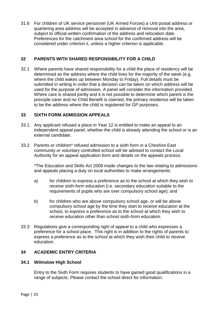31.6 For children of UK service personnel (UK Armed Forces) a Unit postal address or quartering area address will be accepted in advance of removal into the area, subject to official written confirmation of the address and relocation date. Preferences for the catchment area school for the confirmed address will be considered under criterion ii, unless a higher criterion is applicable.

## **32 PARENTS WITH SHARED RESPONSIBILITY FOR A CHILD**

32.1 Where parents have shared responsibility for a child the place of residency will be determined as the address where the child lives for the majority of the week (e.g. where the child wakes up between Monday to Friday). Full details must be submitted in writing in order that a decision can be taken on which address will be used for the purpose of admission. A panel will consider the information provided. Where care is shared jointly and it is not possible to determine which parent is the principle carer and no Child Benefit is claimed, the primary residence will be taken to be the address where the child is registered for GP purposes.

## **33 SIXTH FORM ADMISSION APPEALS**

- 33.1 Any applicant refused a place in Year 12 is entitled to make an appeal to an independent appeal panel, whether the child is already attending the school or is an external candidate.
- 33.2 Parents or children\* refused admission to a sixth form in a Cheshire East community or voluntary controlled school will be advised to contact the Local Authority for an appeal application form and details on the appeals process.

\*The Education and Skills Act 2008 made changes to the law relating to admissions and appeals placing a duty on local authorities to make arrangements:

- a) for children to express a preference as to the school at which they wish to receive sixth-form education (i.e. secondary education suitable to the requirements of pupils who are over compulsory school age); and
- b) for children who are above compulsory school age, or will be above compulsory school age by the time they start to receive education at the school, to express a preference as to the school at which they wish to receive education other than school sixth-form education.
- 33.3 Regulations give a corresponding right of appeal to a child who expresses a preference for a school place. This right is in addition to the rights of parents to express a preference as to the school at which they wish their child to receive education.

## **34 ACADEMIC ENTRY CRITERIA**

## **34.1 Wilmslow High School**

Entry to the Sixth Form requires students to have gained good qualifications in a range of subjects. Please contact the school direct for information.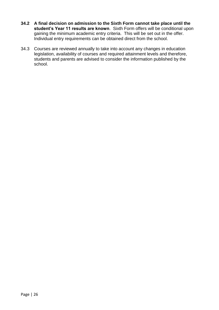- **34.2 A final decision on admission to the Sixth Form cannot take place until the student's Year 11 results are known**. Sixth Form offers will be conditional upon gaining the minimum academic entry criteria. This will be set out in the offer. Individual entry requirements can be obtained direct from the school.
- 34.3 Courses are reviewed annually to take into account any changes in education legislation, availability of courses and required attainment levels and therefore, students and parents are advised to consider the information published by the school.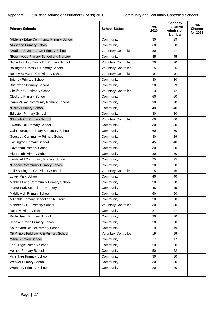| <b>Primary Schools</b>                          | <b>School Status</b>        | <b>PAN</b><br>2020 | Capacity<br><b>Indicative</b><br><b>Admission</b><br><b>Number</b> | <b>PAN</b><br>Change<br>for 2021 |
|-------------------------------------------------|-----------------------------|--------------------|--------------------------------------------------------------------|----------------------------------|
| *Alderley Edge Community Primary School         | Community                   | 30                 | 29                                                                 |                                  |
| *Ashdene Primary School                         | Community                   | 60                 | 60                                                                 |                                  |
| *Audlem St James' CE Primary School             | <b>Voluntary Controlled</b> | 30                 | 27                                                                 |                                  |
| *Beechwood Primary School and Nursery           | Community                   | 45                 | 45                                                                 |                                  |
| <b>Bickerton Holy Trinity CE Primary School</b> | <b>Voluntary Controlled</b> | 20                 | 20                                                                 |                                  |
| <b>Bollington Cross CE Primary School</b>       | <b>Voluntary Controlled</b> | 25                 | 25                                                                 |                                  |
| Bosley St Mary's CE Primary School              | <b>Voluntary Controlled</b> | 8                  | 8                                                                  |                                  |
| <b>Brierley Primary School</b>                  | Community                   | 30                 | 30                                                                 |                                  |
| <b>Buglawton Primary School</b>                 | Community                   | 30                 | 29                                                                 |                                  |
| <b>Chelford CE Primary School</b>               | <b>Voluntary Controlled</b> | 13                 | 12                                                                 |                                  |
| <b>Cledford Primary School</b>                  | Community                   | 60                 | 60                                                                 |                                  |
| Dean Valley Community Primary School            | Community                   | 30                 | 30                                                                 |                                  |
| *Disley Primary School                          | Community                   | 40                 | 40                                                                 |                                  |
| <b>Edleston Primary School</b>                  | Community                   | 30                 | 30                                                                 |                                  |
| *Elworth CE Primary School                      | <b>Voluntary Controlled</b> | 60                 | 60                                                                 |                                  |
| Elworth Hall Primary School                     | Community                   | 30                 | 30                                                                 |                                  |
| Gainsborough Primary & Nursery School           | Community                   | 60                 | 60                                                                 |                                  |
| <b>Goostrey Community Primary School</b>        | Community                   | 30                 | 29                                                                 |                                  |
| Haslington Primary School                       | Community                   | 45                 | 40                                                                 |                                  |
| Havannah Primary School                         | Community                   | 30                 | 30                                                                 |                                  |
| High Legh Primary School                        | Community                   | 30                 | 30                                                                 |                                  |
| Hurdsfield Community Primary School             | Community                   | 25                 | 25                                                                 |                                  |
| *Lindow Community Primary School                | Community                   | 30                 | 30                                                                 |                                  |
| Little Bollington CE Primary School             | <b>Voluntary Controlled</b> | 15                 | 15                                                                 |                                  |
| Lower Park School                               | Community                   | 40                 | 40                                                                 |                                  |
| Mablins Lane Community Primary School           | Community                   | 90                 | 90                                                                 |                                  |
| Manor Park School and Nursery                   | Community                   | 45                 | 45                                                                 |                                  |
| Middlewich Primary School                       | Community                   | 60                 | 60                                                                 |                                  |
| Millfields Primary School and Nursery           | Community                   | 30                 | 30                                                                 |                                  |
| Mobberley CE Primary School                     | <b>Voluntary Controlled</b> | 30                 | 30                                                                 |                                  |
| Rainow Primary School                           | Community                   | 27                 | 27                                                                 |                                  |
| Rode Heath Primary School                       | Community                   | 30                 | 30                                                                 |                                  |
| Scholar Green Primary School                    | Community                   | 30                 | 30                                                                 |                                  |
| Sound and District Primary School               | Community                   | 19                 | 19                                                                 |                                  |
| *St Anne's Fulshaw, CE Primary School           | <b>Voluntary Controlled</b> | 19                 | 19                                                                 |                                  |
| *Styal Primary School                           | Community                   | 17                 | 17                                                                 |                                  |
| The Dingle Primary School                       | Community                   | 50                 | 50                                                                 |                                  |
| Vernon Primary School                           | Community                   | 50                 | 52                                                                 |                                  |
| Vine Tree Primary School                        | Community                   | 30                 | 30                                                                 |                                  |
| <b>Weaver Primary School</b>                    | Community                   | 30                 | 30                                                                 |                                  |
| <b>Wrenbury Primary School</b>                  | Community                   | 20                 | 20                                                                 |                                  |
|                                                 |                             |                    |                                                                    |                                  |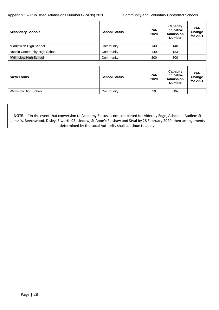| <b>Secondary Schools</b>     | <b>School Status</b> | <b>PAN</b><br>2020 | Capacity<br>Indicative<br><b>Admission</b><br><b>Number</b> | <b>PAN</b><br>Change<br>for 2021 |
|------------------------------|----------------------|--------------------|-------------------------------------------------------------|----------------------------------|
| Middlewich High School       | Community            | 140                | 140                                                         |                                  |
| Ruskin Community High School | Community            | 140                | 133                                                         |                                  |
| *Wilmslow High School        | Community            | 300                | 300                                                         |                                  |

| <b>Sixth Forms</b>   | <b>School Status</b> | <b>PAN</b><br>2020 | Capacity<br><b>Indicative</b><br><b>Admission</b><br><b>Number</b> | <b>PAN</b><br>Change<br>for 2021 |
|----------------------|----------------------|--------------------|--------------------------------------------------------------------|----------------------------------|
| Wilmslow High School | Community            | 50                 | N/A                                                                |                                  |

**NOTE** \*In the event that conversion to Academy Status is not completed for Alderley Edge, Ashdene, Audlem St James's, Beechwood, Disley, Elworth CE, Lindow, St Anne's Fulshaw and Styal by 28 February 2020 then arrangements determined by the Local Authority shall continue to apply.